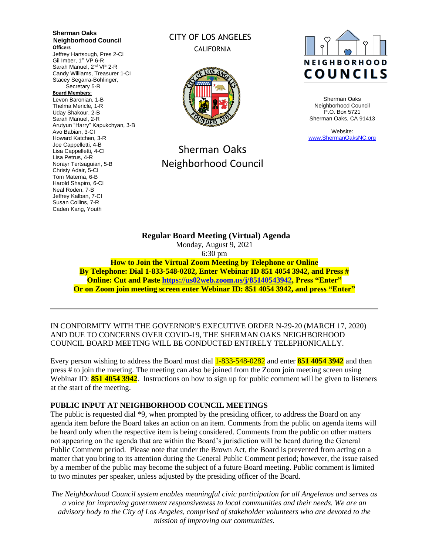**Sherman Oaks Neighborhood Council Officers** Jeffrey Hartsough, Pres 2-CI Gil Imber, 1<sup>st</sup> VP 6-R Sarah Manuel, 2<sup>nd</sup> VP 2-R Candy Williams, Treasurer 1-CI Stacey Segarra-Bohlinger, Secretary 5-R **Board Members:** Levon Baronian, 1-B Thelma Mericle, 1-R Uday Shakour, 2-B Sarah Manuel, 2-R Arutyun "Harry" Kapukchyan, 3-B Avo Babian, 3-CI Howard Katchen, 3-R Joe Cappelletti, 4-B Lisa Cappelletti, 4-CI Lisa Petrus, 4-R Norayr Tertsaguian, 5-B Christy Adair, 5-CI Tom Materna, 6-B Harold Shapiro, 6-CI Neal Roden, 7-B Jeffrey Kalban, 7-CI Susan Collins, 7-R Caden Kang, Youth

# CITY OF LOS ANGELES CALIFORNIA



# Sherman Oaks Neighborhood Council



Sherman Oaks Neighborhood Council P.O. Box 5721 Sherman Oaks, CA 91413

Website: [www.ShermanOaksNC.org](http://www.shermanoaksnc.org/)

**Regular Board Meeting (Virtual) Agenda**  Monday, August 9, 2021 6:30 pm **How to Join the Virtual Zoom Meeting by Telephone or Online By Telephone: Dial 1-833-548-0282, Enter Webinar ID 851 4054 3942, and Press # Online: Cut and Paste [https://us02web.zoom.us/j/85140543942,](https://us02web.zoom.us/j/85140543942) Press "Enter" Or on Zoom join meeting screen enter Webinar ID: 851 4054 3942, and press "Enter"**

IN CONFORMITY WITH THE GOVERNOR'S EXECUTIVE ORDER N-29-20 (MARCH 17, 2020) AND DUE TO CONCERNS OVER COVID-19, THE SHERMAN OAKS NEIGHBORHOOD COUNCIL BOARD MEETING WILL BE CONDUCTED ENTIRELY TELEPHONICALLY.

Every person wishing to address the Board must dial 1-833-548-0282 and enter **851 4054 3942** and then press # to join the meeting. The meeting can also be joined from the Zoom join meeting screen using Webinar ID: **851 4054 3942**. Instructions on how to sign up for public comment will be given to listeners at the start of the meeting.

### **PUBLIC INPUT AT NEIGHBORHOOD COUNCIL MEETINGS**

The public is requested dial \*9, when prompted by the presiding officer, to address the Board on any agenda item before the Board takes an action on an item. Comments from the public on agenda items will be heard only when the respective item is being considered. Comments from the public on other matters not appearing on the agenda that are within the Board's jurisdiction will be heard during the General Public Comment period. Please note that under the Brown Act, the Board is prevented from acting on a matter that you bring to its attention during the General Public Comment period; however, the issue raised by a member of the public may become the subject of a future Board meeting. Public comment is limited to two minutes per speaker, unless adjusted by the presiding officer of the Board.

*The Neighborhood Council system enables meaningful civic participation for all Angelenos and serves as a voice for improving government responsiveness to local communities and their needs. We are an advisory body to the City of Los Angeles, comprised of stakeholder volunteers who are devoted to the mission of improving our communities.*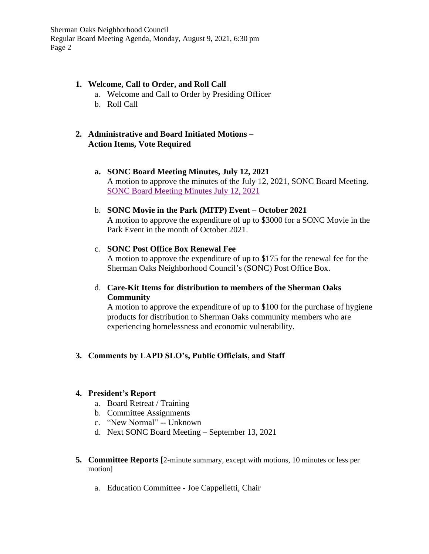## **1. Welcome, Call to Order, and Roll Call**

- a. Welcome and Call to Order by Presiding Officer
- b. Roll Call

## **2. Administrative and Board Initiated Motions – Action Items, Vote Required**

- **a. SONC Board Meeting Minutes, July 12, 2021** A motion to approve the minutes of the July 12, 2021, SONC Board Meeting. [SONC Board Meeting Minutes July 12, 2021](https://www.shermanoaksnc.org/ncfiles/viewCommitteeFile/22708)
- b. **SONC Movie in the Park (MITP) Event – October 2021** A motion to approve the expenditure of up to \$3000 for a SONC Movie in the Park Event in the month of October 2021.
- c. **SONC Post Office Box Renewal Fee** A motion to approve the expenditure of up to \$175 for the renewal fee for the Sherman Oaks Neighborhood Council's (SONC) Post Office Box.
- d. **Care-Kit Items for distribution to members of the Sherman Oaks Community**

A motion to approve the expenditure of up to \$100 for the purchase of hygiene products for distribution to Sherman Oaks community members who are experiencing homelessness and economic vulnerability.

# **3. Comments by LAPD SLO's, Public Officials, and Staff**

# **4. President's Report**

- a. Board Retreat / Training
- b. Committee Assignments
- c. "New Normal" -- Unknown
- d. Next SONC Board Meeting September 13, 2021
- **5. Committee Reports [**2-minute summary, except with motions, 10 minutes or less per motion]
	- a. Education Committee Joe Cappelletti, Chair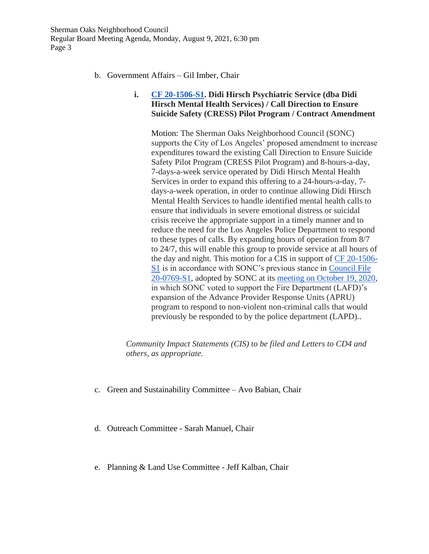- b. Government Affairs Gil Imber, Chair
	- **i. [CF 20-1506-S1.](https://cityclerk.lacity.org/lacityclerkconnect/index.cfm?fa=ccfi.viewrecord&cfnumber=20-1506-S1) Didi Hirsch Psychiatric Service (dba Didi Hirsch Mental Health Services) / Call Direction to Ensure Suicide Safety (CRESS) Pilot Program / Contract Amendment**

Motion: The Sherman Oaks Neighborhood Council (SONC) supports the City of Los Angeles' proposed amendment to increase expenditures toward the existing Call Direction to Ensure Suicide Safety Pilot Program (CRESS Pilot Program) and 8-hours-a-day, 7-days-a-week service operated by Didi Hirsch Mental Health Services in order to expand this offering to a 24-hours-a-day, 7 days-a-week operation, in order to continue allowing Didi Hirsch Mental Health Services to handle identified mental health calls to ensure that individuals in severe emotional distress or suicidal crisis receive the appropriate support in a timely manner and to reduce the need for the Los Angeles Police Department to respond to these types of calls. By expanding hours of operation from 8/7 to 24/7, this will enable this group to provide service at all hours of the day and night. This motion for a CIS in support of [CF 20-1506-](https://cityclerk.lacity.org/lacityclerkconnect/index.cfm?fa=ccfi.viewrecord&cfnumber=20-1506-S1) [S1](https://cityclerk.lacity.org/lacityclerkconnect/index.cfm?fa=ccfi.viewrecord&cfnumber=20-1506-S1) is in accordance with SONC's previous stance in [Council File](https://cityclerk.lacity.org/lacityclerkconnect/index.cfm?fa=ccfi.viewrecord&cfnumber=20-0769-S1)  [20-0769-S1,](https://cityclerk.lacity.org/lacityclerkconnect/index.cfm?fa=ccfi.viewrecord&cfnumber=20-0769-S1) adopted by SONC at its [meeting on October 19, 2020,](https://www.shermanoaksnc.org/ncfiles/viewCommitteeFile/17444) in which SONC voted to support the Fire Department (LAFD)'s expansion of the Advance Provider Response Units (APRU) program to respond to non-violent non-criminal calls that would previously be responded to by the police department (LAPD)..

*Community Impact Statements (CIS) to be filed and Letters to CD4 and others, as appropriate.*

- c. Green and Sustainability Committee Avo Babian, Chair
- d. Outreach Committee Sarah Manuel, Chair
- e. Planning & Land Use Committee Jeff Kalban, Chair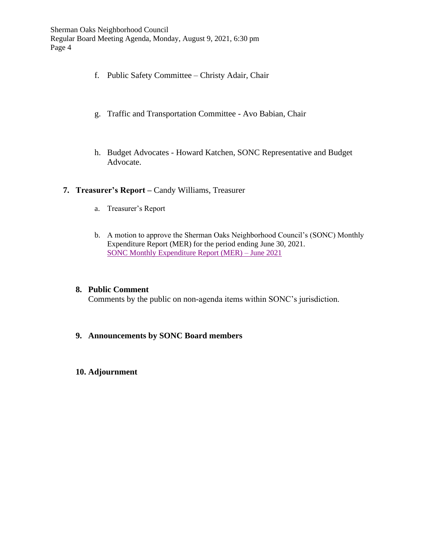- f. Public Safety Committee Christy Adair, Chair
- g. Traffic and Transportation Committee Avo Babian, Chair
- h. Budget Advocates Howard Katchen, SONC Representative and Budget [A](https://www.shermanoaksnc.org/docs/34483777-7621.pdf)dvocate.

### **7. Treasurer's Report –** Candy Williams, Treasurer

- a. Treasurer's Report
- b. A motion to approve the Sherman Oaks Neighborhood Council's (SONC) Monthly Expenditure Report (MER) for the period ending June 30, 2021. [SONC Monthly Expenditure Report](https://www.shermanoaksnc.org/ncfiles/viewCommitteeFile/22709) (MER) – June 2021

### **8. Public Comment**

Comments by the public on non-agenda items within SONC's jurisdiction.

## **9. Announcements by SONC Board members**

### **10. Adjournment**